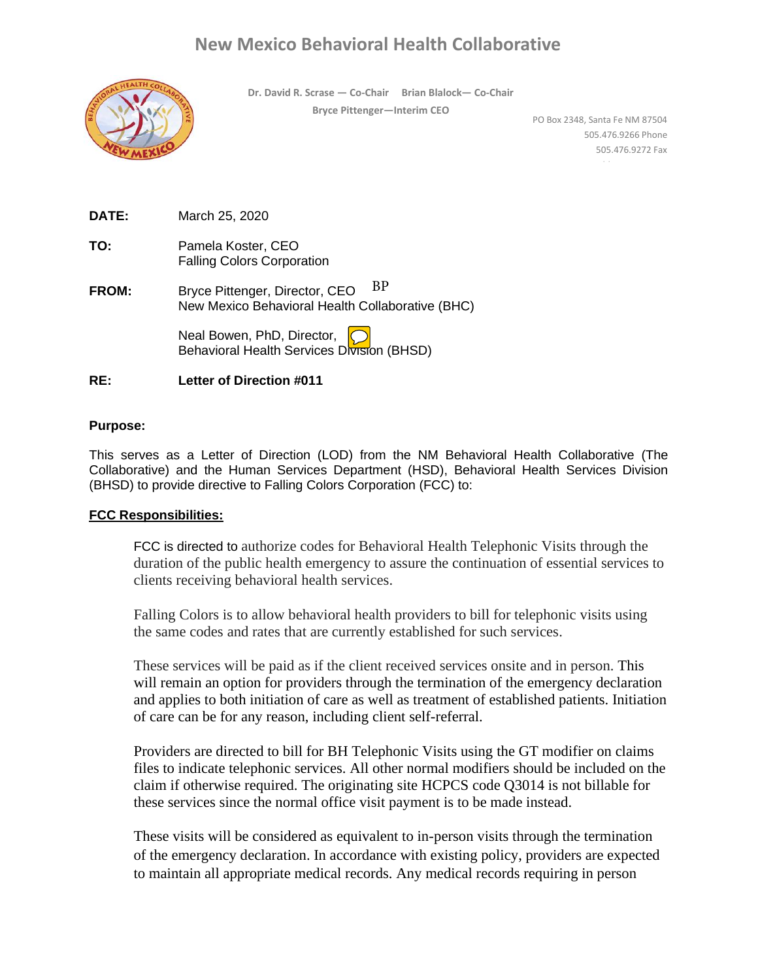# **New Mexico Behavioral Health Collaborative**

**Dr. David R. Scrase — Co-Chair Brian Blalock— Co-Chair Bryce Pittenger—Interim CEO** 



PO Box 2348, Santa Fe NM 87504 505.476.9266 Phone 505.476.9272 Fax www.bhc.state.nm.us

| DATE: | March 25, 2020 |  |
|-------|----------------|--|
|       |                |  |

- **TO:** Pamela Koster, CEO Falling Colors Corporation
- **FROM:** Bryce Pittenger, Director, CEO New Mexico Behavioral Health Collaborative (BHC) BP

Neal Bowen, PhD, Director, Behavioral Health Services Division (BHSD)

### **RE: Letter of Direction #011**

#### **Purpose:**

This serves as a Letter of Direction (LOD) from the NM Behavioral Health Collaborative (The Collaborative) and the Human Services Department (HSD), Behavioral Health Services Division (BHSD) to provide directive to Falling Colors Corporation (FCC) to:

#### **FCC Responsibilities:**

FCC is directed to authorize codes for Behavioral Health Telephonic Visits through the duration of the public health emergency to assure the continuation of essential services to clients receiving behavioral health services.

Falling Colors is to allow behavioral health providers to bill for telephonic visits using the same codes and rates that are currently established for such services.

These services will be paid as if the client received services onsite and in person. This will remain an option for providers through the termination of the emergency declaration and applies to both initiation of care as well as treatment of established patients. Initiation of care can be for any reason, including client self-referral.

Providers are directed to bill for BH Telephonic Visits using the GT modifier on claims files to indicate telephonic services. All other normal modifiers should be included on the claim if otherwise required. The originating site HCPCS code Q3014 is not billable for these services since the normal office visit payment is to be made instead.

These visits will be considered as equivalent to in-person visits through the termination of the emergency declaration. In accordance with existing policy, providers are expected to maintain all appropriate medical records. Any medical records requiring in person